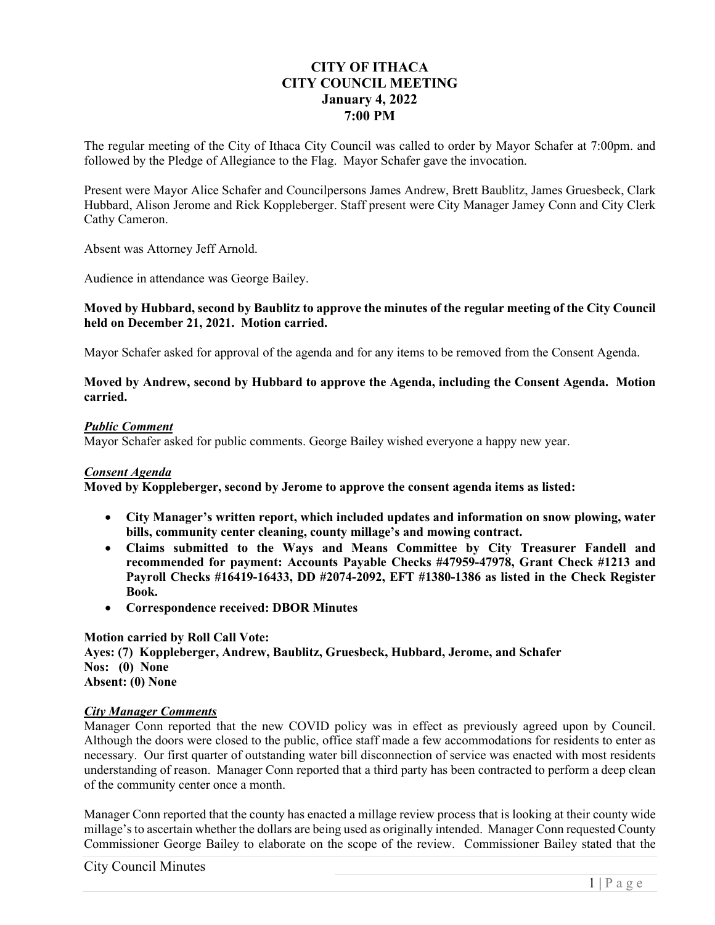# **CITY OF ITHACA CITY COUNCIL MEETING January 4, 2022 7:00 PM**

The regular meeting of the City of Ithaca City Council was called to order by Mayor Schafer at 7:00pm. and followed by the Pledge of Allegiance to the Flag. Mayor Schafer gave the invocation.

Present were Mayor Alice Schafer and Councilpersons James Andrew, Brett Baublitz, James Gruesbeck, Clark Hubbard, Alison Jerome and Rick Koppleberger. Staff present were City Manager Jamey Conn and City Clerk Cathy Cameron.

Absent was Attorney Jeff Arnold.

Audience in attendance was George Bailey.

### **Moved by Hubbard, second by Baublitz to approve the minutes of the regular meeting of the City Council held on December 21, 2021. Motion carried.**

Mayor Schafer asked for approval of the agenda and for any items to be removed from the Consent Agenda.

### **Moved by Andrew, second by Hubbard to approve the Agenda, including the Consent Agenda. Motion carried.**

### *Public Comment*

Mayor Schafer asked for public comments. George Bailey wished everyone a happy new year.

## *Consent Agenda*

**Moved by Koppleberger, second by Jerome to approve the consent agenda items as listed:** 

- **City Manager's written report, which included updates and information on snow plowing, water bills, community center cleaning, county millage's and mowing contract.**
- **Claims submitted to the Ways and Means Committee by City Treasurer Fandell and recommended for payment: Accounts Payable Checks #47959-47978, Grant Check #1213 and Payroll Checks #16419-16433, DD #2074-2092, EFT #1380-1386 as listed in the Check Register Book.**
- **Correspondence received: DBOR Minutes**

## **Motion carried by Roll Call Vote:**

**Ayes: (7) Koppleberger, Andrew, Baublitz, Gruesbeck, Hubbard, Jerome, and Schafer Nos: (0) None Absent: (0) None** 

#### *City Manager Comments*

Manager Conn reported that the new COVID policy was in effect as previously agreed upon by Council. Although the doors were closed to the public, office staff made a few accommodations for residents to enter as necessary. Our first quarter of outstanding water bill disconnection of service was enacted with most residents understanding of reason. Manager Conn reported that a third party has been contracted to perform a deep clean of the community center once a month.

Manager Conn reported that the county has enacted a millage review process that is looking at their county wide millage's to ascertain whether the dollars are being used as originally intended. Manager Conn requested County Commissioner George Bailey to elaborate on the scope of the review. Commissioner Bailey stated that the

## City Council Minutes